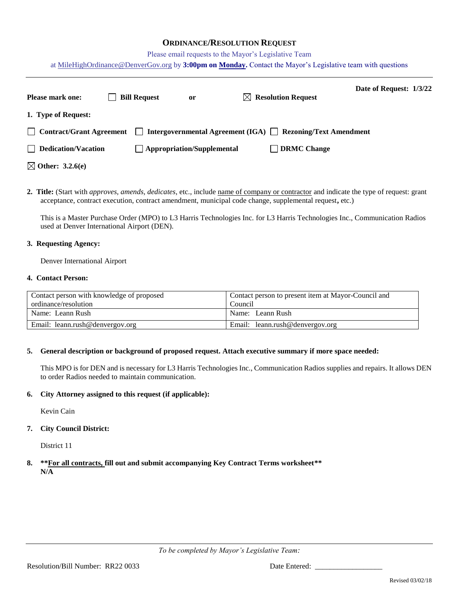# **ORDINANCE/RESOLUTION REQUEST**

Please email requests to the Mayor's Legislative Team

at [MileHighOrdinance@DenverGov.org](mailto:MileHighOrdinance@DenverGov.org) by **3:00pm on Monday.** Contact the Mayor's Legislative team with questions

| <b>Please mark one:</b>     | <b>Bill Request</b> | ⊠<br><sub>or</sub>                | <b>Resolution Request</b>                                     | Date of Request: 1/3/22 |  |
|-----------------------------|---------------------|-----------------------------------|---------------------------------------------------------------|-------------------------|--|
| 1. Type of Request:         |                     |                                   |                                                               |                         |  |
| Contract/Grant Agreement    |                     |                                   | Intergovernmental Agreement (IGA)     Rezoning/Text Amendment |                         |  |
| $\Box$ Dedication/Vacation  |                     | $\Box$ Appropriation/Supplemental | DRMC Change                                                   |                         |  |
| $\boxtimes$ Other: 3.2.6(e) |                     |                                   |                                                               |                         |  |

**2. Title:** (Start with *approves, amends, dedicates*, etc., include name of company or contractor and indicate the type of request: grant acceptance, contract execution, contract amendment, municipal code change, supplemental request**,** etc.)

This is a Master Purchase Order (MPO) to L3 Harris Technologies Inc. for L3 Harris Technologies Inc., Communication Radios used at Denver International Airport (DEN).

# **3. Requesting Agency:**

Denver International Airport

## **4. Contact Person:**

| Contact person with knowledge of proposed | Contact person to present item at Mayor-Council and |  |  |
|-------------------------------------------|-----------------------------------------------------|--|--|
| ordinance/resolution                      | Council                                             |  |  |
| Name: Leann Rush                          | Name: Leann Rush                                    |  |  |
| Email: leann.rush@denvergov.org           | Email: leann.rush@denvergov.org                     |  |  |

# **5. General description or background of proposed request. Attach executive summary if more space needed:**

This MPO is for DEN and is necessary for L3 Harris Technologies Inc., Communication Radios supplies and repairs. It allows DEN to order Radios needed to maintain communication.

# **6. City Attorney assigned to this request (if applicable):**

Kevin Cain

# **7. City Council District:**

District 11

**8. \*\*For all contracts, fill out and submit accompanying Key Contract Terms worksheet\*\* N/A**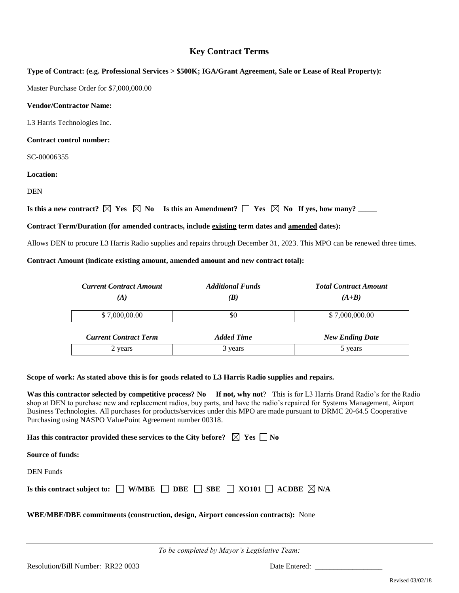# **Key Contract Terms**

## **Type of Contract: (e.g. Professional Services > \$500K; IGA/Grant Agreement, Sale or Lease of Real Property):**

Master Purchase Order for \$7,000,000.00

#### **Vendor/Contractor Name:**

L3 Harris Technologies Inc.

#### **Contract control number:**

SC-00006355

## **Location:**

DEN

**Is this a new contract? Yes No Is this an Amendment? Yes No If yes, how many? \_\_\_\_\_**

# **Contract Term/Duration (for amended contracts, include existing term dates and amended dates):**

Allows DEN to procure L3 Harris Radio supplies and repairs through December 31, 2023. This MPO can be renewed three times.

## **Contract Amount (indicate existing amount, amended amount and new contract total):**

| <b>Current Contract Amount</b> | <b>Additional Funds</b> | <b>Total Contract Amount</b> |
|--------------------------------|-------------------------|------------------------------|
| (A)                            | (B)                     | $(A+B)$                      |
| \$7,000,00.00                  | \$0                     | \$7,000,000.00               |
| <b>Current Contract Term</b>   | <b>Added Time</b>       | <b>New Ending Date</b>       |
| 2 years                        | 3 years                 | 5 years                      |

#### **Scope of work: As stated above this is for goods related to L3 Harris Radio supplies and repairs.**

**Was this contractor selected by competitive process? No If not, why not**? This is for L3 Harris Brand Radio's for the Radio shop at DEN to purchase new and replacement radios, buy parts, and have the radio's repaired for Systems Management, Airport Business Technologies. All purchases for products/services under this MPO are made pursuant to DRMC 20-64.5 Cooperative Purchasing using NASPO ValuePoint Agreement number 00318.

**Has this contractor provided these services to the City before?**  $\boxtimes$  **Yes**  $\Box$  **No** 

**Source of funds:** 

DEN Funds

| Is this contract subject to: $\Box$ W/MBE $\Box$ DBE $\Box$ SBE $\Box$ XO101 $\Box$ ACDBE $\boxtimes$ N/A |  |  |  |  |  |  |
|-----------------------------------------------------------------------------------------------------------|--|--|--|--|--|--|
|-----------------------------------------------------------------------------------------------------------|--|--|--|--|--|--|

# **WBE/MBE/DBE commitments (construction, design, Airport concession contracts):** None